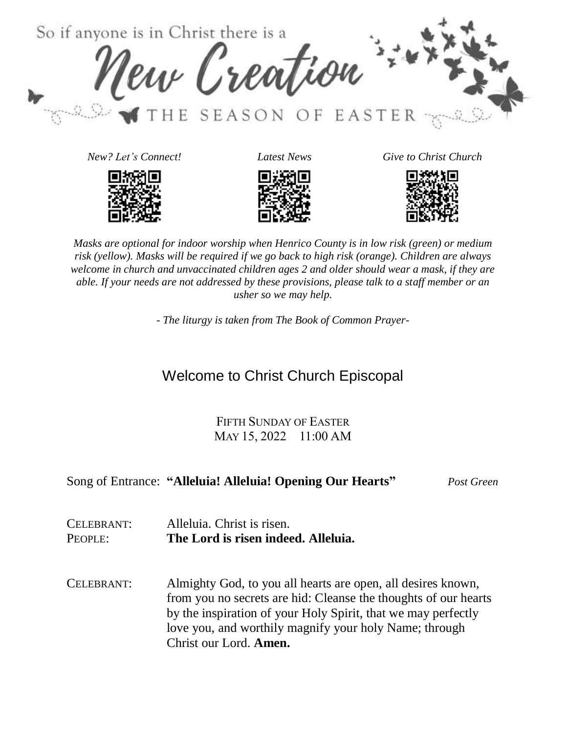





*New? Let's Connect! Latest News Give to Christ Church*



*Masks are optional for indoor worship when Henrico County is in low risk (green) or medium risk (yellow). Masks will be required if we go back to high risk (orange). Children are always welcome in church and unvaccinated children ages 2 and older should wear a mask, if they are able. If your needs are not addressed by these provisions, please talk to a staff member or an usher so we may help.*

*- The liturgy is taken from The Book of Common Prayer-*

Welcome to Christ Church Episcopal

FIFTH SUNDAY OF EASTER MAY 15, 2022 11:00 AM

#### Song of Entrance: **"Alleluia! Alleluia! Opening Our Hearts"** *Post Green*

- CELEBRANT: Alleluia. Christ is risen. PEOPLE: **The Lord is risen indeed. Alleluia.**
- CELEBRANT: Almighty God, to you all hearts are open, all desires known, from you no secrets are hid: Cleanse the thoughts of our hearts by the inspiration of your Holy Spirit, that we may perfectly love you, and worthily magnify your holy Name; through Christ our Lord. **Amen.**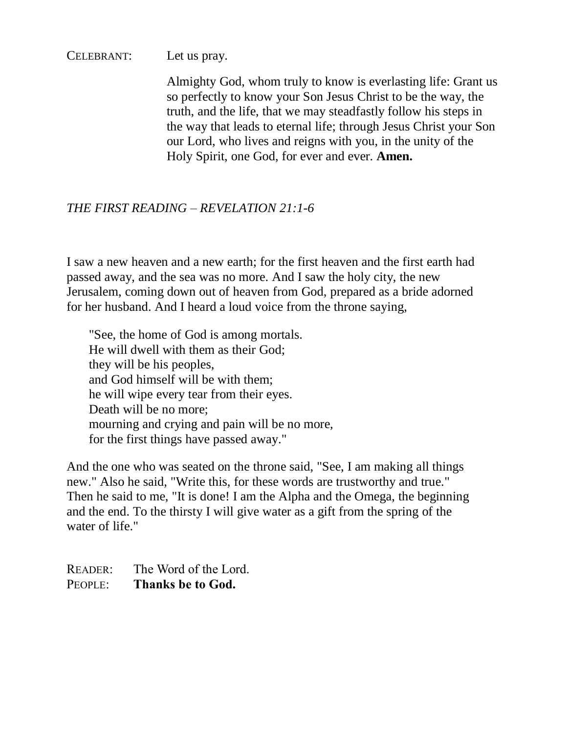#### CELEBRANT: Let us pray.

Almighty God, whom truly to know is everlasting life: Grant us so perfectly to know your Son Jesus Christ to be the way, the truth, and the life, that we may steadfastly follow his steps in the way that leads to eternal life; through Jesus Christ your Son our Lord, who lives and reigns with you, in the unity of the Holy Spirit, one God, for ever and ever. **Amen.**

# *THE FIRST READING – REVELATION 21:1-6*

I saw a new heaven and a new earth; for the first heaven and the first earth had passed away, and the sea was no more. And I saw the holy city, the new Jerusalem, coming down out of heaven from God, prepared as a bride adorned for her husband. And I heard a loud voice from the throne saying,

"See, the home of God is among mortals. He will dwell with them as their God; they will be his peoples, and God himself will be with them; he will wipe every tear from their eyes. Death will be no more; mourning and crying and pain will be no more, for the first things have passed away."

And the one who was seated on the throne said, "See, I am making all things new." Also he said, "Write this, for these words are trustworthy and true." Then he said to me, "It is done! I am the Alpha and the Omega, the beginning and the end. To the thirsty I will give water as a gift from the spring of the water of life."

| <b>READER:</b> | The Word of the Lord.    |
|----------------|--------------------------|
| PEOPLE:        | <b>Thanks be to God.</b> |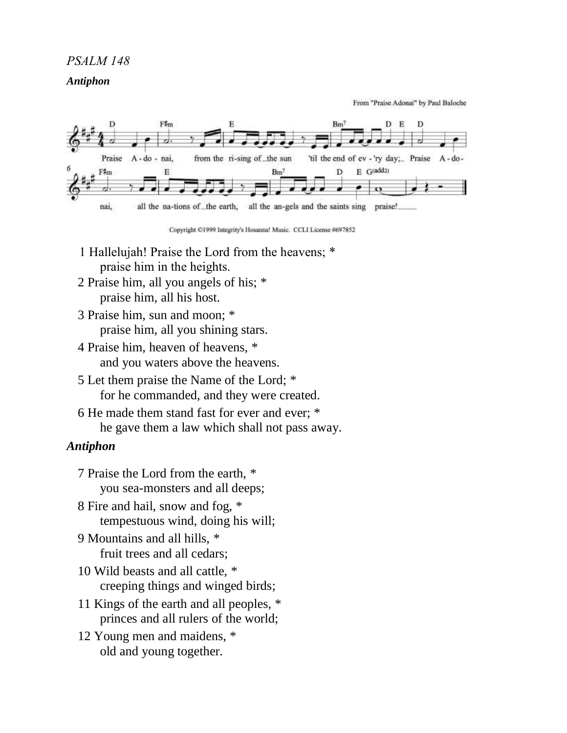*PSALM 148*

*Antiphon*

From "Praise Adonai" by Paul Baloche





- 1 Hallelujah! Praise the Lord from the heavens; \* praise him in the heights.
- 2 Praise him, all you angels of his; \* praise him, all his host.
- 3 Praise him, sun and moon; \* praise him, all you shining stars.
- 4 Praise him, heaven of heavens, \* and you waters above the heavens.
- 5 Let them praise the Name of the Lord; \* for he commanded, and they were created.
- 6 He made them stand fast for ever and ever; \* he gave them a law which shall not pass away.

#### *Antiphon*

- 7 Praise the Lord from the earth, \* you sea-monsters and all deeps;
- 8 Fire and hail, snow and fog, \* tempestuous wind, doing his will;
- 9 Mountains and all hills, \* fruit trees and all cedars;
- 10 Wild beasts and all cattle, \* creeping things and winged birds;
- 11 Kings of the earth and all peoples, \* princes and all rulers of the world;
- 12 Young men and maidens, \* old and young together.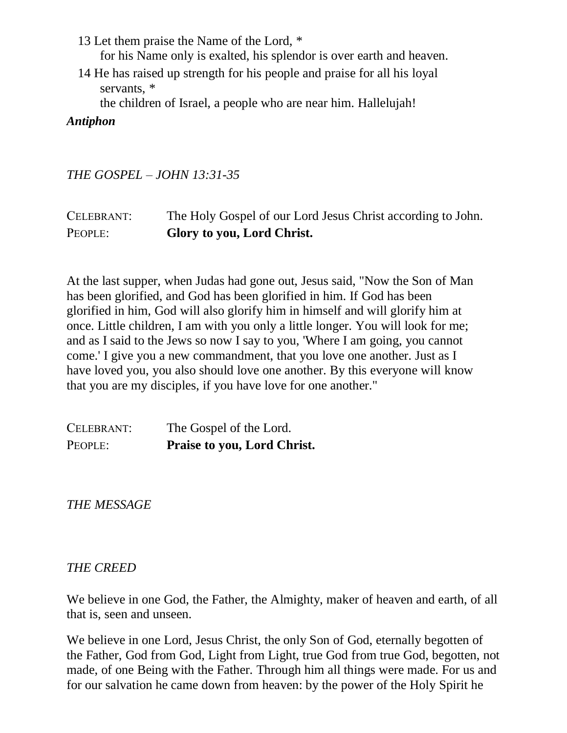13 Let them praise the Name of the Lord, \*

for his Name only is exalted, his splendor is over earth and heaven.

14 He has raised up strength for his people and praise for all his loyal servants, \*

the children of Israel, a people who are near him. Hallelujah!

#### *Antiphon*

### *THE GOSPEL – JOHN 13:31-35*

# CELEBRANT: The Holy Gospel of our Lord Jesus Christ according to John. PEOPLE: **Glory to you, Lord Christ.**

At the last supper, when Judas had gone out, Jesus said, "Now the Son of Man has been glorified, and God has been glorified in him. If God has been glorified in him, God will also glorify him in himself and will glorify him at once. Little children, I am with you only a little longer. You will look for me; and as I said to the Jews so now I say to you, 'Where I am going, you cannot come.' I give you a new commandment, that you love one another. Just as I have loved you, you also should love one another. By this everyone will know that you are my disciples, if you have love for one another."

| CELEBRANT: | The Gospel of the Lord.            |
|------------|------------------------------------|
| PEOPLE:    | <b>Praise to you, Lord Christ.</b> |

*THE MESSAGE* 

### *THE CREED*

We believe in one God, the Father, the Almighty, maker of heaven and earth, of all that is, seen and unseen.

We believe in one Lord, Jesus Christ, the only Son of God, eternally begotten of the Father, God from God, Light from Light, true God from true God, begotten, not made, of one Being with the Father. Through him all things were made. For us and for our salvation he came down from heaven: by the power of the Holy Spirit he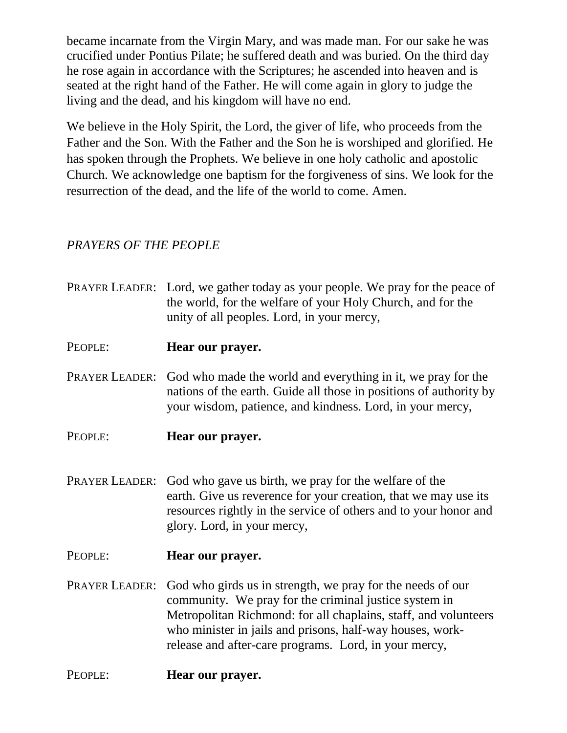became incarnate from the Virgin Mary, and was made man. For our sake he was crucified under Pontius Pilate; he suffered death and was buried. On the third day he rose again in accordance with the Scriptures; he ascended into heaven and is seated at the right hand of the Father. He will come again in glory to judge the living and the dead, and his kingdom will have no end.

We believe in the Holy Spirit, the Lord, the giver of life, who proceeds from the Father and the Son. With the Father and the Son he is worshiped and glorified. He has spoken through the Prophets. We believe in one holy catholic and apostolic Church. We acknowledge one baptism for the forgiveness of sins. We look for the resurrection of the dead, and the life of the world to come. Amen.

### *PRAYERS OF THE PEOPLE*

|                       | PRAYER LEADER: Lord, we gather today as your people. We pray for the peace of<br>the world, for the welfare of your Holy Church, and for the<br>unity of all peoples. Lord, in your mercy,                                                                                                                   |
|-----------------------|--------------------------------------------------------------------------------------------------------------------------------------------------------------------------------------------------------------------------------------------------------------------------------------------------------------|
| PEOPLE:               | Hear our prayer.                                                                                                                                                                                                                                                                                             |
|                       | PRAYER LEADER: God who made the world and everything in it, we pray for the<br>nations of the earth. Guide all those in positions of authority by<br>your wisdom, patience, and kindness. Lord, in your mercy,                                                                                               |
| PEOPLE:               | Hear our prayer.                                                                                                                                                                                                                                                                                             |
| <b>PRAYER LEADER:</b> | God who gave us birth, we pray for the welfare of the<br>earth. Give us reverence for your creation, that we may use its<br>resources rightly in the service of others and to your honor and<br>glory. Lord, in your mercy,                                                                                  |
| PEOPLE:               | Hear our prayer.                                                                                                                                                                                                                                                                                             |
| PRAYER LEADER:        | God who girds us in strength, we pray for the needs of our<br>community. We pray for the criminal justice system in<br>Metropolitan Richmond: for all chaplains, staff, and volunteers<br>who minister in jails and prisons, half-way houses, work-<br>release and after-care programs. Lord, in your mercy, |

| Hear our prayer. |
|------------------|
|                  |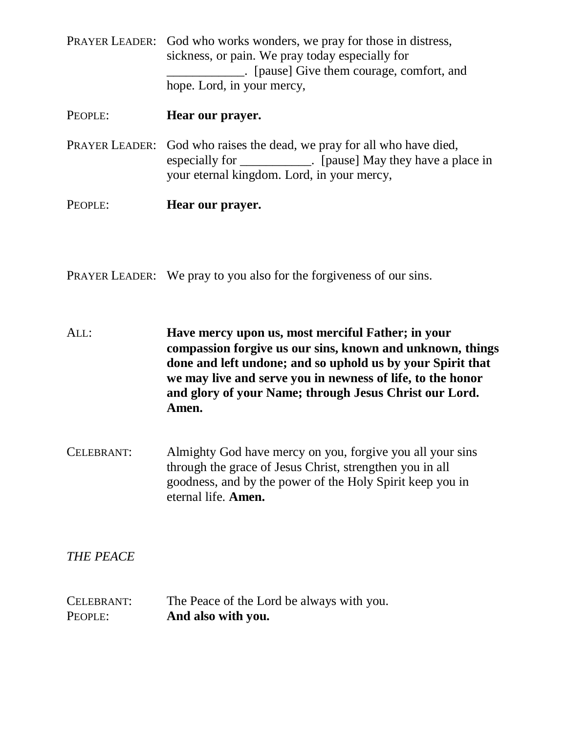PRAYER LEADER: God who works wonders, we pray for those in distress, sickness, or pain. We pray today especially for \_\_\_\_\_\_\_\_\_\_\_\_. [pause] Give them courage, comfort, and hope. Lord, in your mercy,

PEOPLE: **Hear our prayer.**

PRAYER LEADER: God who raises the dead, we pray for all who have died, especially for \_\_\_\_\_\_\_\_\_\_\_. [pause] May they have a place in your eternal kingdom. Lord, in your mercy,

PEOPLE: **Hear our prayer.**

PRAYER LEADER: We pray to you also for the forgiveness of our sins.

ALL: **Have mercy upon us, most merciful Father; in your compassion forgive us our sins, known and unknown, things done and left undone; and so uphold us by your Spirit that we may live and serve you in newness of life, to the honor and glory of your Name; through Jesus Christ our Lord. Amen.**

CELEBRANT: Almighty God have mercy on you, forgive you all your sins through the grace of Jesus Christ, strengthen you in all goodness, and by the power of the Holy Spirit keep you in eternal life. **Amen.**

*THE PEACE*

CELEBRANT: The Peace of the Lord be always with you. PEOPLE: **And also with you.**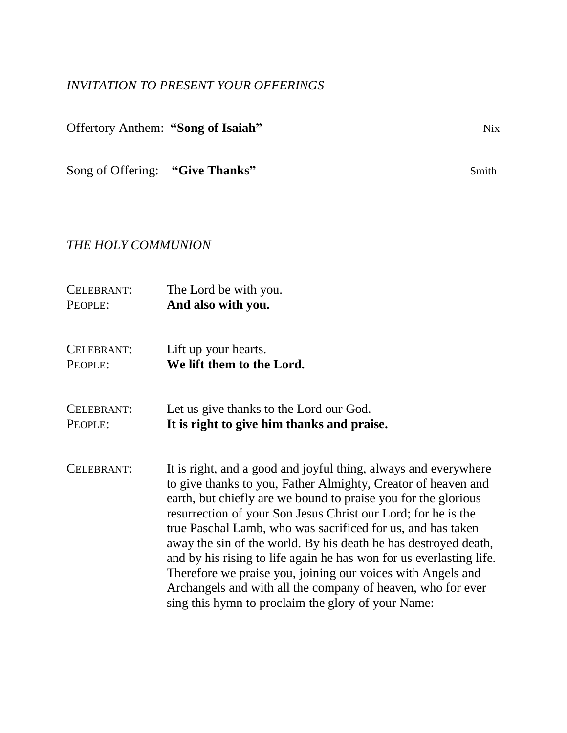#### *INVITATION TO PRESENT YOUR OFFERINGS*

| Offertory Anthem: "Song of Isaiah" | <b>Nix</b> |
|------------------------------------|------------|
| Song of Offering: "Give Thanks"    | Smith      |
|                                    |            |

#### *THE HOLY COMMUNION*

| CELEBRANT: | The Lord be with you. |
|------------|-----------------------|
| PEOPLE:    | And also with you.    |

CELEBRANT: Lift up your hearts. PEOPLE: **We lift them to the Lord.**

CELEBRANT: Let us give thanks to the Lord our God. PEOPLE: **It is right to give him thanks and praise.**

CELEBRANT: It is right, and a good and joyful thing, always and everywhere to give thanks to you, Father Almighty, Creator of heaven and earth, but chiefly are we bound to praise you for the glorious resurrection of your Son Jesus Christ our Lord; for he is the true Paschal Lamb, who was sacrificed for us, and has taken away the sin of the world. By his death he has destroyed death, and by his rising to life again he has won for us everlasting life. Therefore we praise you, joining our voices with Angels and Archangels and with all the company of heaven, who for ever sing this hymn to proclaim the glory of your Name: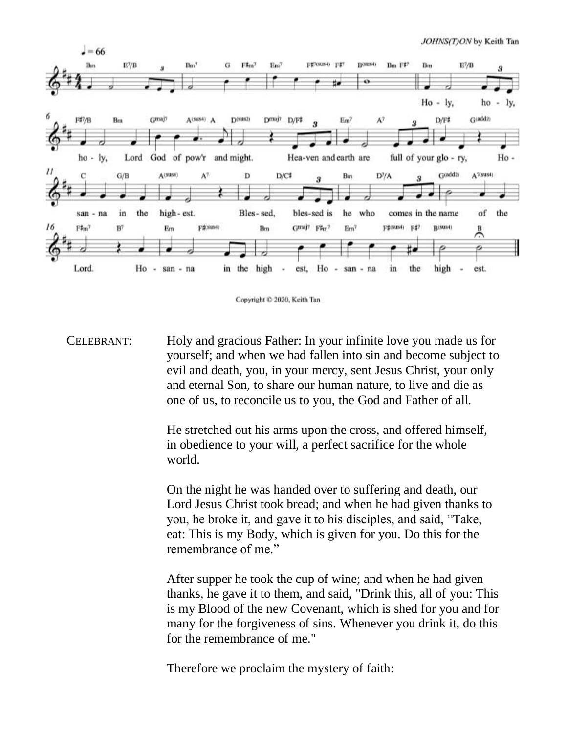

Copyright C 2020, Keith Tan

CELEBRANT: Holy and gracious Father: In your infinite love you made us for yourself; and when we had fallen into sin and become subject to evil and death, you, in your mercy, sent Jesus Christ, your only and eternal Son, to share our human nature, to live and die as one of us, to reconcile us to you, the God and Father of all.

> He stretched out his arms upon the cross, and offered himself, in obedience to your will, a perfect sacrifice for the whole world.

On the night he was handed over to suffering and death, our Lord Jesus Christ took bread; and when he had given thanks to you, he broke it, and gave it to his disciples, and said, "Take, eat: This is my Body, which is given for you. Do this for the remembrance of me."

After supper he took the cup of wine; and when he had given thanks, he gave it to them, and said, "Drink this, all of you: This is my Blood of the new Covenant, which is shed for you and for many for the forgiveness of sins. Whenever you drink it, do this for the remembrance of me."

Therefore we proclaim the mystery of faith: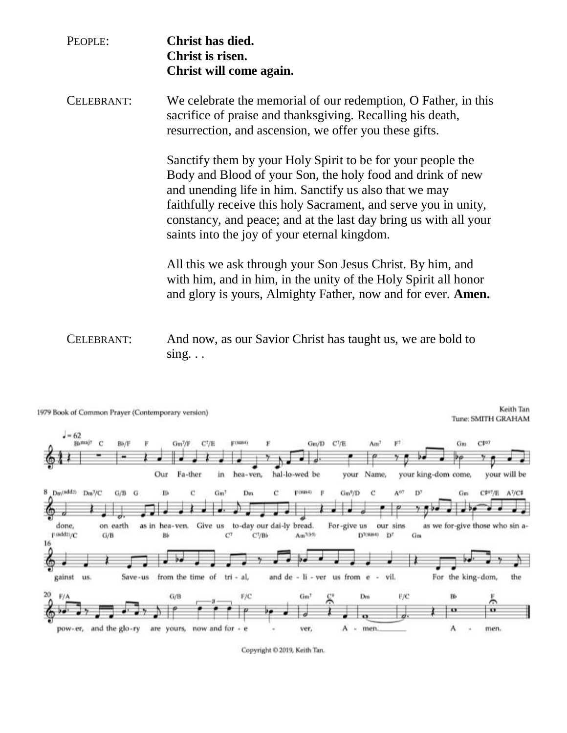| PEOPLE: | Christ has died.        |
|---------|-------------------------|
|         | Christ is risen.        |
|         | Christ will come again. |

CELEBRANT: We celebrate the memorial of our redemption, O Father, in this sacrifice of praise and thanksgiving. Recalling his death, resurrection, and ascension, we offer you these gifts.

> Sanctify them by your Holy Spirit to be for your people the Body and Blood of your Son, the holy food and drink of new and unending life in him. Sanctify us also that we may faithfully receive this holy Sacrament, and serve you in unity, constancy, and peace; and at the last day bring us with all your saints into the joy of your eternal kingdom.

> All this we ask through your Son Jesus Christ. By him, and with him, and in him, in the unity of the Holy Spirit all honor and glory is yours, Almighty Father, now and for ever. **Amen.**

> > Keith Tan

CELEBRANT: And now, as our Savior Christ has taught us, we are bold to  $sing. \ldots$ 



1979 Book of Common Prayer (Contemporary version)

Copyright @ 2019, Keith Tan.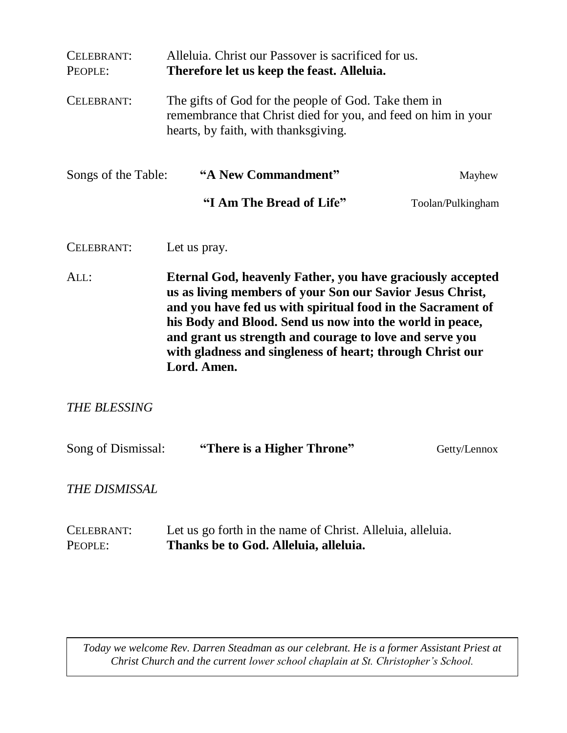| CELEBRANT:<br>PEOPLE: | Alleluia. Christ our Passover is sacrificed for us.<br>Therefore let us keep the feast. Alleluia.                                                                                                                                                                                                                                                                                         |                   |
|-----------------------|-------------------------------------------------------------------------------------------------------------------------------------------------------------------------------------------------------------------------------------------------------------------------------------------------------------------------------------------------------------------------------------------|-------------------|
| CELEBRANT:            | The gifts of God for the people of God. Take them in<br>remembrance that Christ died for you, and feed on him in your<br>hearts, by faith, with thanksgiving.                                                                                                                                                                                                                             |                   |
| Songs of the Table:   | "A New Commandment"                                                                                                                                                                                                                                                                                                                                                                       | Mayhew            |
|                       | "I Am The Bread of Life"                                                                                                                                                                                                                                                                                                                                                                  | Toolan/Pulkingham |
| CELEBRANT:            | Let us pray.                                                                                                                                                                                                                                                                                                                                                                              |                   |
| ALL:                  | Eternal God, heavenly Father, you have graciously accepted<br>us as living members of your Son our Savior Jesus Christ,<br>and you have fed us with spiritual food in the Sacrament of<br>his Body and Blood. Send us now into the world in peace,<br>and grant us strength and courage to love and serve you<br>with gladness and singleness of heart; through Christ our<br>Lord. Amen. |                   |
| <b>THE BLESSING</b>   |                                                                                                                                                                                                                                                                                                                                                                                           |                   |
| Song of Dismissal:    | "There is a Higher Throne"                                                                                                                                                                                                                                                                                                                                                                | Getty/Lennox      |
| <b>THE DISMISSAL</b>  |                                                                                                                                                                                                                                                                                                                                                                                           |                   |
| CELEBRANT:<br>PEOPLE: | Let us go forth in the name of Christ. Alleluia, alleluia.<br>Thanks be to God. Alleluia, alleluia.                                                                                                                                                                                                                                                                                       |                   |

*Today we welcome Rev. Darren Steadman as our celebrant. He is a former Assistant Priest at Christ Church and the current lower school chaplain at St. Christopher's School.*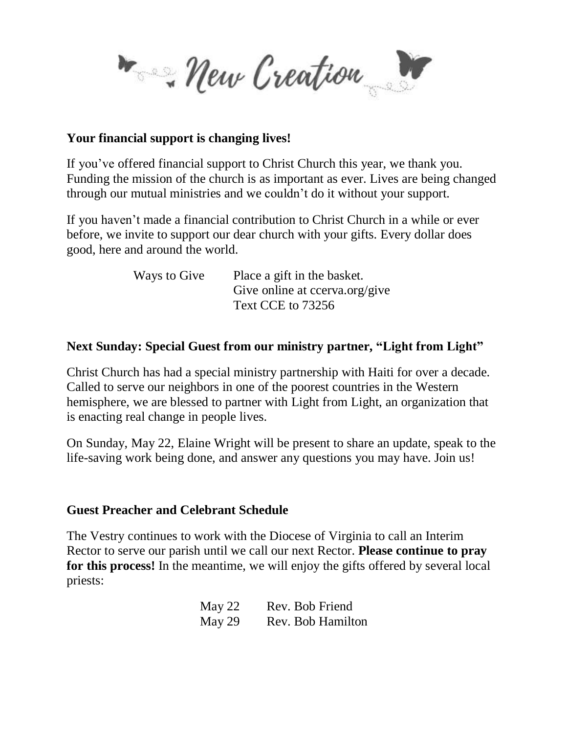Mar Creation

### **Your financial support is changing lives!**

If you've offered financial support to Christ Church this year, we thank you. Funding the mission of the church is as important as ever. Lives are being changed through our mutual ministries and we couldn't do it without your support.

If you haven't made a financial contribution to Christ Church in a while or ever before, we invite to support our dear church with your gifts. Every dollar does good, here and around the world.

| Ways to Give | Place a gift in the basket.    |
|--------------|--------------------------------|
|              | Give online at coerva.org/give |
|              | Text CCE to 73256              |

### **Next Sunday: Special Guest from our ministry partner, "Light from Light"**

Christ Church has had a special ministry partnership with Haiti for over a decade. Called to serve our neighbors in one of the poorest countries in the Western hemisphere, we are blessed to partner with Light from Light, an organization that is enacting real change in people lives.

On Sunday, May 22, Elaine Wright will be present to share an update, speak to the life-saving work being done, and answer any questions you may have. Join us!

### **Guest Preacher and Celebrant Schedule**

The Vestry continues to work with the Diocese of Virginia to call an Interim Rector to serve our parish until we call our next Rector. **Please continue to pray for this process!** In the meantime, we will enjoy the gifts offered by several local priests:

| May 22 | Rev. Bob Friend   |
|--------|-------------------|
| May 29 | Rev. Bob Hamilton |